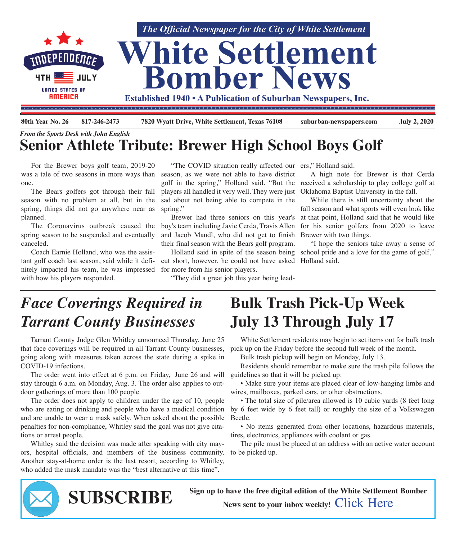

| 80th Year No. 26 817-246-2473 |                                               | 7820 Wyatt Drive, White Settlement, Texas 76108 | suburban-newspapers.com | <b>July 2, 2020</b> |
|-------------------------------|-----------------------------------------------|-------------------------------------------------|-------------------------|---------------------|
|                               | <b>From the Sports Desk with John English</b> |                                                 |                         |                     |

## **Senior Athlete Tribute: Brewer High School Boys Golf**

 For the Brewer boys golf team, 2019-20 was a tale of two seasons in more ways than one.

 The Bears golfers got through their fall season with no problem at all, but in the spring, things did not go anywhere near as planned.

spring season to be suspended and eventually canceled.

 Coach Earnie Holland, who was the assistant golf coach last season, said while it definitely impacted his team, he was impressed with how his players responded.

"The COVID situation really affected our ers," Holland said. season, as we were not able to have district players all handled it very well. They were just sad about not being able to compete in the spring."

 The Coronavirus outbreak caused the boy's team including Javie Cerda, Travis Allen and Jacob Mandl, who did not get to finish their final season with the Bears golf program.

> cut short, however, he could not have asked Holland said. for more from his senior players.

"They did a great job this year being lead-

golf in the spring," Holland said. "But the received a scholarship to play college golf at A high note for Brewer is that Cerda Oklahoma Baptist University in the fall.

 Brewer had three seniors on this year's at that point, Holland said that he would like While there is still uncertainty about the fall season and what sports will even look like for his senior golfers from 2020 to leave Brewer with two things.

Holland said in spite of the season being school pride and a love for the game of golf," "I hope the seniors take away a sense of

## *Face Coverings Required in Tarrant County Businesses*

 Tarrant County Judge Glen Whitley announced Thursday, June 25 that face coverings will be required in all Tarrant County businesses, going along with measures taken across the state during a spike in COVID-19 infections.

 The order went into effect at 6 p.m. on Friday, June 26 and will stay through 6 a.m. on Monday, Aug. 3. The order also applies to outdoor gatherings of more than 100 people.

 The order does not apply to children under the age of 10, people who are eating or drinking and people who have a medical condition and are unable to wear a mask safely. When asked about the possible penalties for non-compliance, Whitley said the goal was not give citations or arrest people.

 Whitley said the decision was made after speaking with city mayors, hospital officials, and members of the business community. Another stay-at-home order is the last resort, according to Whitley, who added the mask mandate was the "best alternative at this time".

## **Bulk Trash Pick-Up Week July 13 Through July 17**

 White Settlement residents may begin to set items out for bulk trash pick up on the Friday before the second full week of the month.

Bulk trash pickup will begin on Monday, July 13.

 Residents should remember to make sure the trash pile follows the guidelines so that it will be picked up:

 • Make sure your items are placed clear of low-hanging limbs and wires, mailboxes, parked cars, or other obstructions.

• The total size of pile/area allowed is 10 cubic yards (8 feet long by 6 feet wide by 6 feet tall) or roughly the size of a Volkswagen Beetle.

 • No items generated from other locations, hazardous materials, tires, electronics, appliances with coolant or gas.

 The pile must be placed at an address with an active water account to be picked up.



**Sign up to have the free digital edition of the White Settlement Bomber SUBSCRIBE SUBSCRIBE News** sent to your inbox weekly! [Click](http://eepurl.com/g3m8OX) Here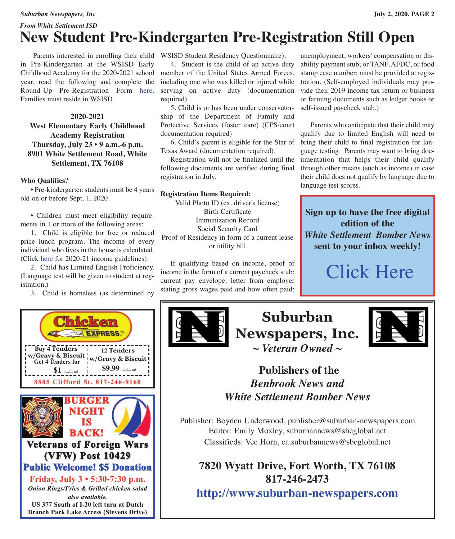### *Suburban Newspapers, Inc* **July 2, 2020, PAGE 2** *From White Settlement ISD* **New Student Pre-Kindergarten Pre-Registration Still Open**

 Parents interested in enrolling their child WSISD Student Residency Questionnaire). in Pre-Kindergarten at the WSISD Early Childhood Academy for the 2020-2021 school member of the United States Armed Forces, year, read the following and complete the Round-Up Pre-Registration Form [here.](https://docs.google.com/forms/d/e/1FAIpQLSed4INmzukr-WMUReuS9gLtL5ixWMQ4-AmW1Nk1FUwWKpWh6w/viewform) Families must reside in WSISD.

### **2020-2021 West Elementary Early Childhood Academy Registration Thursday, July 23 • 9 a.m.-6 p.m. 8901 White Settlement Road, White Settlement, TX 76108**

#### **Who Qualifies?**

 • Pre-kindergarten students must be 4 years old on or before Sept. 1, 2020.

 • Children must meet eligibility requirements in 1 or more of the following areas:

 1. Child is eligible for free or reduced price lunch program. The income of every individual who lives in the house is calculated. (Click [here](https://www.wsisd.com/ourpages/users/dcoyle/For%20Parents/income%20guidelines.jpg) for 2020-21 income guidelines).

 2. Child has Limited English Proficiency. (Language test will be given to student at registration.)

3. Child is homeless (as determined by



 4. Student is the child of an active duty including one who was killed or injured while serving on active duty (documentation required)

 5. Child is or has been under conservatorship of the Department of Family and Protective Services (foster care) (CPS/court documentation required)

 6. Child's parent is eligible for the Star of bring their child to final registration for lan-Texas Award (documentation required).

 Registration will not be finalized until the following documents are verified during final registration in July.

#### **Registration Items Required:**

Valid Photo ID (ex. driver's license) Birth Certificate Immunization Record Social Security Card Proof of Residency in form of a current lease or utility bill

 If qualifying based on income, proof of income in the form of a current paycheck stub; current pay envelope; letter from employer stating gross wages paid and how often paid;

unemployment, workers' compensation or disability payment stub; or TANF, AFDC, or food stamp case number; must be provided at registration. (Self-employed individuals may provide their 2019 income tax return or business or farming documents such as ledger books or self-issued paycheck stub.)

 Parents who anticipate that their child may qualify due to limited English will need to guage testing. Parents may want to bring documentation that helps their child qualify through other means (such as income) in case their child does not qualify by language due to language test scores.

**Sign up to have the free digital edition of the** *White Settlement Bomber News* **sent to your inbox weekly!**

# [Click](http://eepurl.com/g3m8OX) Here



**Suburban Newspapers, Inc.** *~ Veteran Owned ~*



### **Publishers of the** *Benbrook News and White Settlement Bomber News*

Publisher: Boyden Underwood, publisher@suburban-newspapers.com Editor: Emily Moxley, suburbannews@sbcglobal.net Classifieds: Vee Horn, ca.suburbannews@sbcglobal.net

**7820 Wyatt Drive, Fort Worth, TX 76108 817-246-2473**

**<http://www.suburban-newspapers.com>**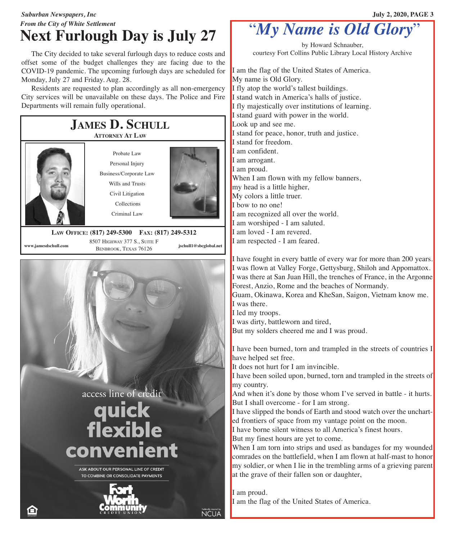### *Suburban Newspapers, Inc* **July 2, 2020, PAGE 3** *From the City of White Settlement* **Next Furlough Day is July 27**

 The City decided to take several furlough days to reduce costs and offset some of the budget challenges they are facing due to the COVID-19 pandemic. The upcoming furlough days are scheduled for Monday, July 27 and Friday. Aug. 28.

 Residents are requested to plan accordingly as all non-emergency City services will be unavailable on these days. The Police and Fire Departments will remain fully operational.



## "*My Name is Old Glory*"

by Howard Schnauber, courtesy Fort Collins Public Library Local History Archive

I am the flag of the United States of America. My name is Old Glory. I fly atop the world's tallest buildings. I stand watch in America's halls of justice. I fly majestically over institutions of learning. I stand guard with power in the world. Look up and see me. I stand for peace, honor, truth and justice. I stand for freedom. I am confident. I am arrogant. I am proud. When I am flown with my fellow banners, my head is a little higher, My colors a little truer. I bow to no one! I am recognized all over the world. I am worshiped - I am saluted. I am loved - I am revered. I am respected - I am feared.

I have fought in every battle of every war for more than 200 years. I was flown at Valley Forge, Gettysburg, Shiloh and Appomattox. I was there at San Juan Hill, the trenches of France, in the Argonne Forest, Anzio, Rome and the beaches of Normandy.

Guam, Okinawa, Korea and KheSan, Saigon, Vietnam know me. I was there.

I led my troops.

I was dirty, battleworn and tired,

But my solders cheered me and I was proud.

I have been burned, torn and trampled in the streets of countries I have helped set free.

It does not hurt for I am invincible.

I have been soiled upon, burned, torn and trampled in the streets of my country.

And when it's done by those whom I've served in battle - it hurts. But I shall overcome - for I am strong.

I have slipped the bonds of Earth and stood watch over the uncharted frontiers of space from my vantage point on the moon.

I have borne silent witness to all America's finest hours. But my finest hours are yet to come.

When I am torn into strips and used as bandages for my wounded comrades on the battlefield, when I am flown at half-mast to honor my soldier, or when I lie in the trembling arms of a grieving parent at the grave of their fallen son or daughter,

I am proud. I am the flag of the United States of America.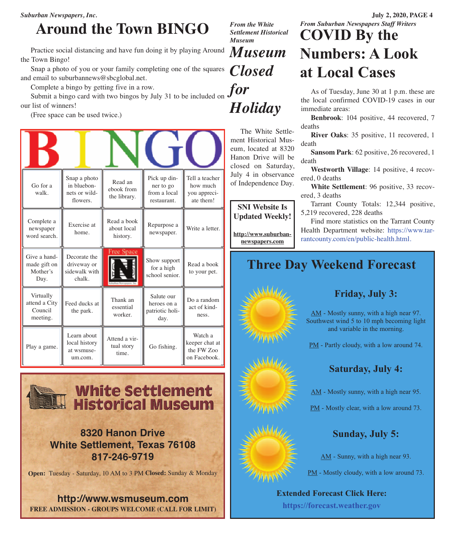*Suburban Newspapers, Inc.* **July 2, 2020, PAGE 4**

## **Around the Town BINGO**

 Practice social distancing and have fun doing it by playing Around the Town Bingo!

 Snap a photo of you or your family completing one of the squares and email to suburbannews@sbcglobal.net.

Complete a bingo by getting five in a row.

Complete a bingo by getting five in a row.<br>Submit a bingo card with two bingos by July 31 to be included on **for** our list of winners!

(Free space can be used twice.)

| Go for a<br>walk.                                 | Snap a photo<br>in bluebon-<br>nets or wild-<br>flowers. | Read an<br>ebook from<br>the library.  | Pick up din-<br>ner to go<br>from a local<br>restaurant. | Tell a teacher<br>how much<br>you appreci-<br>ate them! |  |  |  |
|---------------------------------------------------|----------------------------------------------------------|----------------------------------------|----------------------------------------------------------|---------------------------------------------------------|--|--|--|
| Complete a<br>newspaper<br>word search.           | Exercise at<br>home.                                     | Read a book<br>about local<br>history. | Repurpose a<br>newspaper.                                | Write a letter.                                         |  |  |  |
| Give a hand-<br>made gift on<br>Mother's<br>Day.  | Decorate the<br>driveway or<br>sidewalk with<br>chalk.   | Free Space                             | Show support<br>for a high<br>school senior.             | Read a book<br>to your pet.                             |  |  |  |
| Virtually<br>attend a City<br>Council<br>meeting. | Feed ducks at<br>the park.                               | Thank an<br>essential<br>worker.       | Salute our<br>heroes on a<br>patriotic holi-<br>day.     | Do a random<br>act of kind-<br>ness.                    |  |  |  |
| Play a game.                                      | Learn about<br>local history<br>at wsmuse-<br>um.com.    | Attend a vir-<br>tual story<br>time.   | Go fishing.                                              | Watch a<br>keeper chat at<br>the FW Zoo<br>on Facebook. |  |  |  |



### **8320 Hanon Drive White Settlement, Texas 76108 817-246-9719**

**Open:** Tuesday - Saturday, 10 AM to 3 PM **Closed:** Sunday & Monday

**http://www.wsmuseum.com FREE ADMISSION - GROUPS WELCOME (CALL FOR LIMIT)** *From the White Settlement Historical Museum*

# *Museum Closed*

 The White Settle-*Holiday*

ment Historical Museum, located at 8320 Hanon Drive will be closed on Saturday, July 4 in observance of Independence Day.

**SNI Website Is Updated Weekly!**

**[http://www.suburban](http://www.suburban-newspapers.com)[newspapers.com](http://www.suburban-newspapers.com)**

 Find more statistics on the Tarrant County Health Department website: [https://www.tar](https://www.tarrantcounty.com/en/public-health.html)[rantcounty.com/en/public-health.html.](https://www.tarrantcounty.com/en/public-health.html)

## **Three Day Weekend Forecast**



### **Friday, July 3:**

AM - Mostly sunny, with a high near 97. Southwest wind 5 to 10 mph becoming light and variable in the morning.

PM - Partly cloudy, with a low around 74.

### **Saturday, July 4:**

AM - Mostly sunny, with a high near 95.

PM - Mostly clear, with a low around 73.

### **Sunday, July 5:**

AM - Sunny, with a high near 93.

PM - Mostly cloudy, with a low around 73.

**Extended Forecast Click Here: <https://forecast.weather.gov>**

## *From Suburban Newspapers Staff Writers* **COVID By the Numbers: A Look at Local Cases**

 As of Tuesday, June 30 at 1 p.m. these are the local confirmed COVID-19 cases in our immediate areas:

 **Benbrook**: 104 positive, 44 recovered, 7 deaths

 **River Oaks**: 35 positive, 11 recovered, 1 death

 **Sansom Park**: 62 positive, 26 recovered, 1 death

 **Westworth Village**: 14 positive, 4 recovered, 0 deaths

 **White Settlement**: 96 positive, 33 recovered, 3 deaths

 Tarrant County Totals: 12,344 positive, 5,219 recovered, 228 deaths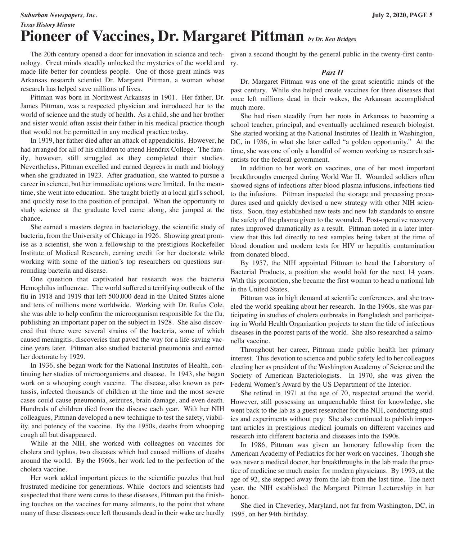#### *Suburban Newspapers, Inc.* **July 2, 2020, PAGE 5**

*Texas History Minute*

## **Pioneer of Vaccines, Dr. Margaret Pittman** *by Dr. Ken Bridges*

 The 20th century opened a door for innovation in science and tech-given a second thought by the general public in the twenty-first centunology. Great minds steadily unlocked the mysteries of the world and made life better for countless people. One of those great minds was Arkansas research scientist Dr. Margaret Pittman, a woman whose research has helped save millions of lives.

 Pittman was born in Northwest Arkansas in 1901. Her father, Dr. James Pittman, was a respected physician and introduced her to the world of science and the study of health. As a child, she and her brother and sister would often assist their father in his medical practice though that would not be permitted in any medical practice today.

 In 1919, her father died after an attack of appendicitis. However, he had arranged for all of his children to attend Hendrix College. The family, however, still struggled as they completed their studies. Nevertheless, Pittman excelled and earned degrees in math and biology when she graduated in 1923. After graduation, she wanted to pursue a career in science, but her immediate options were limited. In the meantime, she went into education. She taught briefly at a local girl's school, and quickly rose to the position of principal. When the opportunity to study science at the graduate level came along, she jumped at the chance.

 She earned a masters degree in bacteriology, the scientific study of bacteria, from the University of Chicago in 1926. Showing great promise as a scientist, she won a fellowship to the prestigious Rockefeller Institute of Medical Research, earning credit for her doctorate while working with some of the nation's top researchers on questions surrounding bacteria and disease.

 One question that captivated her research was the bacteria Hemophilus influenzae. The world suffered a terrifying outbreak of the flu in 1918 and 1919 that left 500,000 dead in the United States alone and tens of millions more worldwide. Working with Dr. Rufus Cole, she was able to help confirm the microorganism responsible for the flu, publishing an important paper on the subject in 1928. She also discovered that there were several strains of the bacteria, some of which caused meningitis, discoveries that paved the way for a life-saving vaccine years later. Pittman also studied bacterial pneumonia and earned her doctorate by 1929.

 In 1936, she began work for the National Institutes of Health, continuing her studies of microorganisms and disease. In 1943, she began work on a whooping cough vaccine. The disease, also known as pertussis, infected thousands of children at the time and the most severe cases could cause pneumonia, seizures, brain damage, and even death. Hundreds of children died from the disease each year. With her NIH colleagues, Pittman developed a new technique to test the safety, viability, and potency of the vaccine. By the 1950s, deaths from whooping cough all but disappeared.

 While at the NIH, she worked with colleagues on vaccines for cholera and typhus, two diseases which had caused millions of deaths around the world. By the 1960s, her work led to the perfection of the cholera vaccine.

 Her work added important pieces to the scientific puzzles that had frustrated medicine for generations. While doctors and scientists had suspected that there were cures to these diseases, Pittman put the finishing touches on the vaccines for many ailments, to the point that where many of these diseases once left thousands dead in their wake are hardly

ry.

#### *Part II*

 Dr. Margaret Pittman was one of the great scientific minds of the past century. While she helped create vaccines for three diseases that once left millions dead in their wakes, the Arkansan accomplished much more.

 She had risen steadily from her roots in Arkansas to becoming a school teacher, principal, and eventually acclaimed research biologist. She started working at the National Institutes of Health in Washington, DC, in 1936, in what she later called "a golden opportunity." At the time, she was one of only a handful of women working as research scientists for the federal government.

 In addition to her work on vaccines, one of her most important breakthroughs emerged during World War II. Wounded soldiers often showed signs of infections after blood plasma infusions, infections tied to the infusions. Pittman inspected the storage and processing procedures used and quickly devised a new strategy with other NIH scientists. Soon, they established new tests and new lab standards to ensure the safety of the plasma given to the wounded. Post-operative recovery rates improved dramatically as a result. Pittman noted in a later interview that this led directly to test samples being taken at the time of blood donation and modern tests for HIV or hepatitis contamination from donated blood.

 By 1957, the NIH appointed Pittman to head the Laboratory of Bacterial Products, a position she would hold for the next 14 years. With this promotion, she became the first woman to head a national lab in the United States.

 Pittman was in high demand at scientific conferences, and she traveled the world speaking about her research. In the 1960s, she was participating in studies of cholera outbreaks in Bangladesh and participating in World Health Organization projects to stem the tide of infectious diseases in the poorest parts of the world. She also researched a salmonella vaccine.

 Throughout her career, Pittman made public health her primary interest. This devotion to science and public safety led to her colleagues electing her as president of the Washington Academy of Science and the Society of American Bacteriologists. In 1970, she was given the Federal Women's Award by the US Department of the Interior.

 She retired in 1971 at the age of 70, respected around the world. However, still possessing an unquenchable thirst for knowledge, she went back to the lab as a guest researcher for the NIH, conducting studies and experiments without pay. She also continued to publish important articles in prestigious medical journals on different vaccines and research into different bacteria and diseases into the 1990s.

 In 1986, Pittman was given an honorary fellowship from the American Academy of Pediatrics for her work on vaccines. Though she was never a medical doctor, her breakthroughs in the lab made the practice of medicine so much easier for modern physicians. By 1993, at the age of 92, she stepped away from the lab from the last time. The next year, the NIH established the Margaret Pittman Lectureship in her honor.

 She died in Cheverley, Maryland, not far from Washington, DC, in 1995, on her 94th birthday.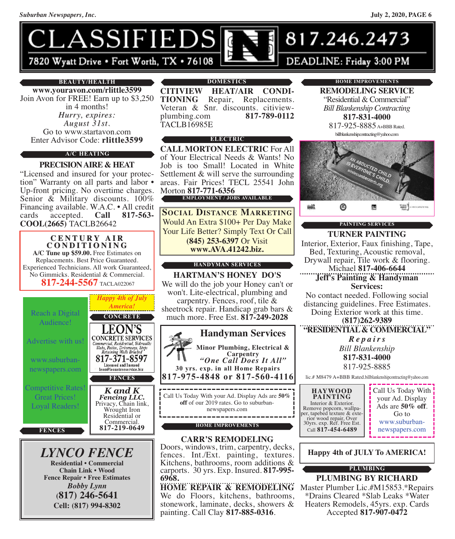

#### **BEAUTY/HEALTH**

**www.youravon.com/rlittle3599** Join Avon for FREE! Earn up to \$3,250 in 4 months! *Hurry, expires: August 31st.* Go to www.startavon.com Enter Advisor Code: **rlittle3599**

#### **A/C HEATING**

#### **PRECISIONAIRE & HEAT**

"Licensed and insured for your protection" Warranty on all parts and labor • Up-front pricing. No overtime charges.<br>Senior & Military discounts. 100% Financing available. W.A.C. • All credit cards accepted. **Call 817-563**cards accepted. **Call 817-563- COOL(2665)** TACLB26642

#### **C E N T U R Y A I R C O N D I T I O N I N G A/C Tune up \$59.00.** Free Estimates on Replacements. Best Price Guaranteed. Experienced Technicians. All work Guaranteed, No Gimmicks. Residential & Commercial. **817-244-5567** TACLA022067



*LYNCO FENCE* **Residential • Commercial Chain Link • Wood Fence Repair • Free Estimates** *Bobby Lynn* **(817) 246-5641 Cell: (817) 994-8302**

#### **DOMESTICS**

**CITIVIEW HEAT/AIR CONDI-<br>
<b>TIONING** Repair, Replacements.<br>
Veteran & Snr. discounts. citiview-<br>
plumbing.com **817-789-0112** TACLB16985E

#### **ELECTRIC**

**CALL MORTON ELECTRIC** For All of Your Electrical Needs & Wants! No Job is too Small! Located in White Settlement & will serve the surrounding areas. Fair Prices! TECL 25541 John Morton **817-771-6356**

### **EMPLOYMENT / JOBS AVAILABLE**

**SOCIAL DISTANCE MARKETING** Would An Extra \$100+ Per Day Make Your Life Better? Simply Text Or Call **(845) 253-6397** Or Visit **www.AVA.41242.biz.**

#### **HANDYMAN SERVICES**

**HARTMAN'S HONEY DO'S** We will do the job your Honey can't or won't. Lite-electrical, plumbing and carpentry. Fences, roof, tile & sheetrock repair. Handicap grab bars & much more. Free Est. **817-249-2028**



#### **HOME IMPROVEMENTS**

#### **CARR'S REMODELING**

Doors, windows, trim, carpentry, decks, fences. Int./Ext. painting, textures. Kitchens, bathrooms, room additions & carports. <sup>30</sup> yrs. Exp. Insured. **817-995- 6968.**

**HOME REPAIR & REMODELING** We do Floors, kitchens, bathrooms, stonework, laminate, decks, showers & painting. Call Clay **817-885-0316**.

#### **HOME IMPROVEMENTS**

**REMODELING SERVICE** "Residential & Commercial" *Bill Blankenship Contracting* **817-831-4000**

817-925-8885 A+BBB Rated. billblankenshipcontracting@yahoo.com



### **PAINTING SERVICES**

**TURNER PAINTING** Interior, Exterior, Faux finishing, Tape, Bed, Texturing, Acoustic removal, Drywall repair, Tile work & flooring. Michael **817-406-6644**

**Jeff's Painting & Handyman Services:**

No contact needed. Following social distancing guidelines. Free Estimates. Doing Exterior work at this time. **(817)262-9389**

**"RESIDENTIAL& COMMERCIAL"**

*R e p a i r s Bill Blankenship* **817-831-4000** 817-925-8885

lic.# M8479 A+BBB Rated.billblankenshipcontracting@yahoo.com

**HAYWOOD PAINTING**<br>Interior & Exterior. Remove popcorn, wallpa-<br>per, tapebed texture & exte-<br>rior wood repair, Over 30yrs. exp. Ref. Free Est. Call **817-454-6489**

Call Us Today With your Ad. Display Ads are **50% off**. Go to [www.suburban](www.suburban-newspapers.com)[newspapers.com](www.suburban-newspapers.com)

**Happy 4th of JULY To AMERICA!**

#### **PLUMBING**

**PLUMBING BY RICHARD** Master Plumber Lic.#M15853.\*Repairs \*Drains Cleared \*Slab Leaks \*Water Heaters Remodels, 45yrs. exp. Cards Accepted **817-907-0472**